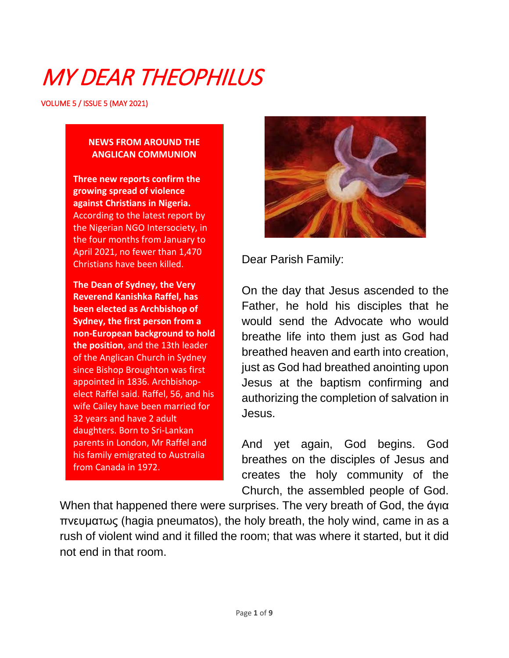# MY DEAR THEOPHILUS

VOLUME 5 / ISSUE 5 (MAY 2021)

#### **NEWS FROM AROUND THE ANGLICAN COMMUNION**

**Three new reports confirm the growing spread of violence against Christians in Nigeria.** According to the latest report by the Nigerian NGO Intersociety, in the four months from January to April 2021, no fewer than 1,470 Christians have been killed.

**The Dean of Sydney, the Very Reverend Kanishka Raffel, has been elected as Archbishop of Sydney, the first person from a non-European background to hold the position**, and the 13th leader of the Anglican Church in Sydney since Bishop Broughton was first appointed in 1836. Archbishopelect Raffel said. Raffel, 56, and his wife Cailey have been married for 32 years and have 2 adult daughters. Born to Sri-Lankan parents in London, Mr Raffel and his family emigrated to Australia from Canada in 1972.



Dear Parish Family:

On the day that Jesus ascended to the Father, he hold his disciples that he would send the Advocate who would breathe life into them just as God had breathed heaven and earth into creation, just as God had breathed anointing upon Jesus at the baptism confirming and authorizing the completion of salvation in Jesus.

And yet again, God begins. God breathes on the disciples of Jesus and creates the holy community of the Church, the assembled people of God.

When that happened there were surprises. The very breath of God, the άγια πνευματως (hagia pneumatos), the holy breath, the holy wind, came in as a rush of violent wind and it filled the room; that was where it started, but it did not end in that room.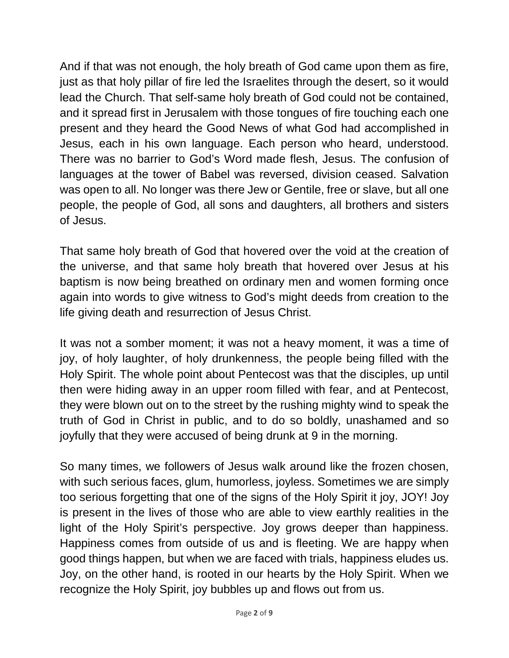And if that was not enough, the holy breath of God came upon them as fire, just as that holy pillar of fire led the Israelites through the desert, so it would lead the Church. That self-same holy breath of God could not be contained, and it spread first in Jerusalem with those tongues of fire touching each one present and they heard the Good News of what God had accomplished in Jesus, each in his own language. Each person who heard, understood. There was no barrier to God's Word made flesh, Jesus. The confusion of languages at the tower of Babel was reversed, division ceased. Salvation was open to all. No longer was there Jew or Gentile, free or slave, but all one people, the people of God, all sons and daughters, all brothers and sisters of Jesus.

That same holy breath of God that hovered over the void at the creation of the universe, and that same holy breath that hovered over Jesus at his baptism is now being breathed on ordinary men and women forming once again into words to give witness to God's might deeds from creation to the life giving death and resurrection of Jesus Christ.

It was not a somber moment; it was not a heavy moment, it was a time of joy, of holy laughter, of holy drunkenness, the people being filled with the Holy Spirit. The whole point about Pentecost was that the disciples, up until then were hiding away in an upper room filled with fear, and at Pentecost, they were blown out on to the street by the rushing mighty wind to speak the truth of God in Christ in public, and to do so boldly, unashamed and so joyfully that they were accused of being drunk at 9 in the morning.

So many times, we followers of Jesus walk around like the frozen chosen, with such serious faces, glum, humorless, joyless. Sometimes we are simply too serious forgetting that one of the signs of the Holy Spirit it joy, JOY! Joy is present in the lives of those who are able to view earthly realities in the light of the Holy Spirit's perspective. Joy grows deeper than happiness. Happiness comes from outside of us and is fleeting. We are happy when good things happen, but when we are faced with trials, happiness eludes us. Joy, on the other hand, is rooted in our hearts by the Holy Spirit. When we recognize the Holy Spirit, joy bubbles up and flows out from us.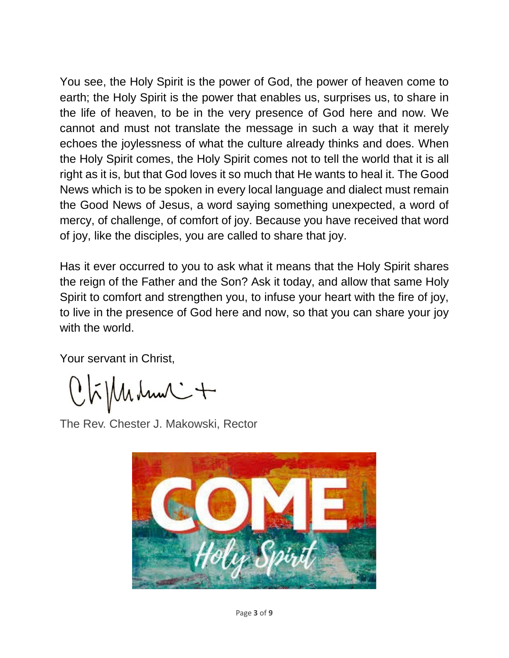You see, the Holy Spirit is the power of God, the power of heaven come to earth; the Holy Spirit is the power that enables us, surprises us, to share in the life of heaven, to be in the very presence of God here and now. We cannot and must not translate the message in such a way that it merely echoes the joylessness of what the culture already thinks and does. When the Holy Spirit comes, the Holy Spirit comes not to tell the world that it is all right as it is, but that God loves it so much that He wants to heal it. The Good News which is to be spoken in every local language and dialect must remain the Good News of Jesus, a word saying something unexpected, a word of mercy, of challenge, of comfort of joy. Because you have received that word of joy, like the disciples, you are called to share that joy.

Has it ever occurred to you to ask what it means that the Holy Spirit shares the reign of the Father and the Son? Ask it today, and allow that same Holy Spirit to comfort and strengthen you, to infuse your heart with the fire of joy, to live in the presence of God here and now, so that you can share your joy with the world.

Your servant in Christ,

 $Q$  $\tilde{h}$ / $M$  $\mu$  $\mu$  $\sim$  $+$ 

The Rev. Chester J. Makowski, Rector

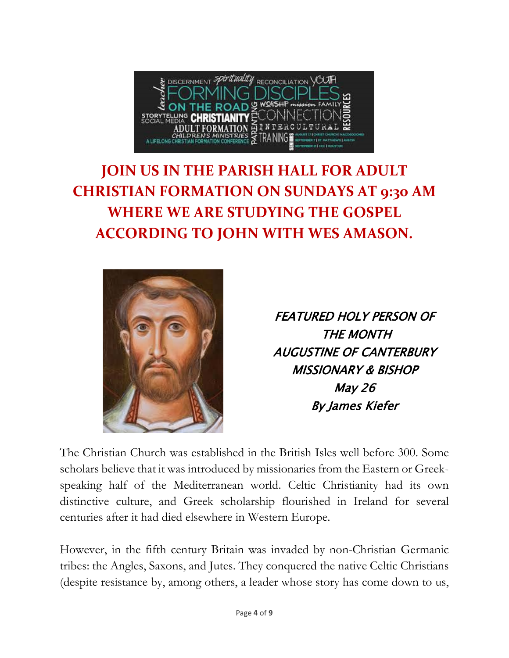

## **JOIN US IN THE PARISH HALL FOR ADULT CHRISTIAN FORMATION ON SUNDAYS AT 9:30 AM WHERE WE ARE STUDYING THE GOSPEL ACCORDING TO JOHN WITH WES AMASON.**



FEATURED HOLY PERSON OF THE MONTH AUGUSTINE OF CANTERBURY MISSIONARY & BISHOP May 26 By James Kiefer

The Christian Church was established in the British Isles well before 300. Some scholars believe that it was introduced by missionaries from the Eastern or Greekspeaking half of the Mediterranean world. Celtic Christianity had its own distinctive culture, and Greek scholarship flourished in Ireland for several centuries after it had died elsewhere in Western Europe.

However, in the fifth century Britain was invaded by non-Christian Germanic tribes: the Angles, Saxons, and Jutes. They conquered the native Celtic Christians (despite resistance by, among others, a leader whose story has come down to us,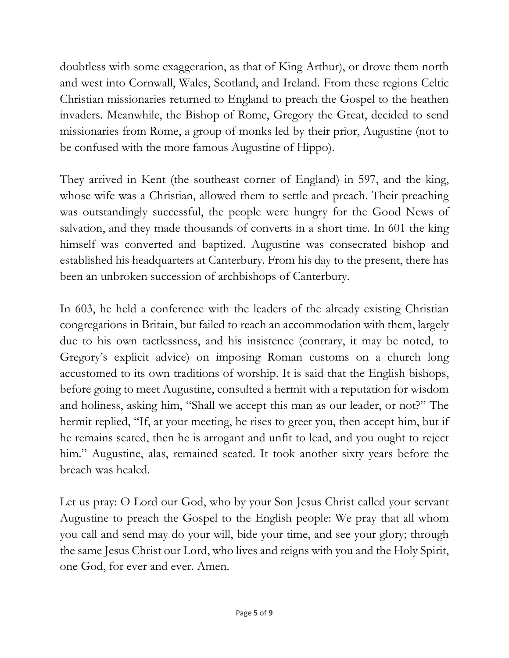doubtless with some exaggeration, as that of King Arthur), or drove them north and west into Cornwall, Wales, Scotland, and Ireland. From these regions Celtic Christian missionaries returned to England to preach the Gospel to the heathen invaders. Meanwhile, the Bishop of Rome, Gregory the Great, decided to send missionaries from Rome, a group of monks led by their prior, Augustine (not to be confused with the more famous Augustine of Hippo).

They arrived in Kent (the southeast corner of England) in 597, and the king, whose wife was a Christian, allowed them to settle and preach. Their preaching was outstandingly successful, the people were hungry for the Good News of salvation, and they made thousands of converts in a short time. In 601 the king himself was converted and baptized. Augustine was consecrated bishop and established his headquarters at Canterbury. From his day to the present, there has been an unbroken succession of archbishops of Canterbury.

In 603, he held a conference with the leaders of the already existing Christian congregations in Britain, but failed to reach an accommodation with them, largely due to his own tactlessness, and his insistence (contrary, it may be noted, to Gregory's explicit advice) on imposing Roman customs on a church long accustomed to its own traditions of worship. It is said that the English bishops, before going to meet Augustine, consulted a hermit with a reputation for wisdom and holiness, asking him, "Shall we accept this man as our leader, or not?" The hermit replied, "If, at your meeting, he rises to greet you, then accept him, but if he remains seated, then he is arrogant and unfit to lead, and you ought to reject him." Augustine, alas, remained seated. It took another sixty years before the breach was healed.

Let us pray: O Lord our God, who by your Son Jesus Christ called your servant Augustine to preach the Gospel to the English people: We pray that all whom you call and send may do your will, bide your time, and see your glory; through the same Jesus Christ our Lord, who lives and reigns with you and the Holy Spirit, one God, for ever and ever. Amen.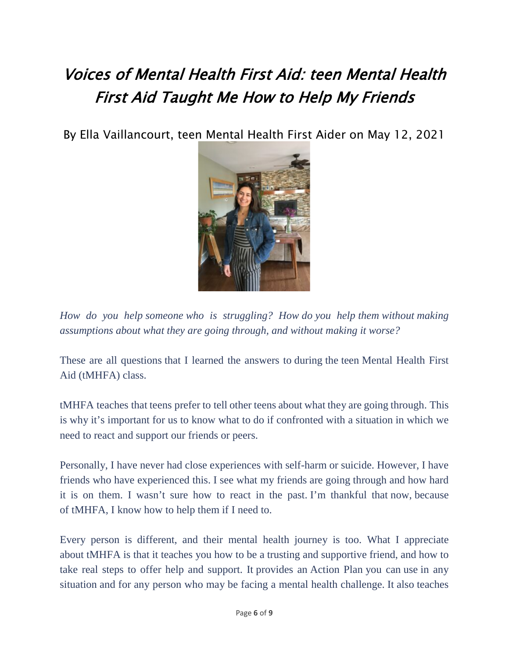# Voices of Mental Health First Aid: teen Mental Health First Aid Taught Me How to Help My Friends

By Ella Vaillancourt, teen Mental Health First Aider on May 12, 2021



*How do you help someone who is struggling? How do you help them without making assumptions about what they are going through, and without making it worse?*

These are all questions that I learned the answers to during the teen Mental Health First Aid (tMHFA) class.

tMHFA teaches that teens prefer to tell other teens about what they are going through. This is why it's important for us to know what to do if confronted with a situation in which we need to react and support our friends or peers.

Personally, I have never had close experiences with self-harm or suicide. However, I have friends who have experienced this. I see what my friends are going through and how hard it is on them. I wasn't sure how to react in the past. I'm thankful that now, because of tMHFA, I know how to help them if I need to.

Every person is different, and their mental health journey is too. What I appreciate about tMHFA is that it teaches you how to be a trusting and supportive friend, and how to take real steps to offer help and support. It provides an Action Plan you can use in any situation and for any person who may be facing a mental health challenge. It also teaches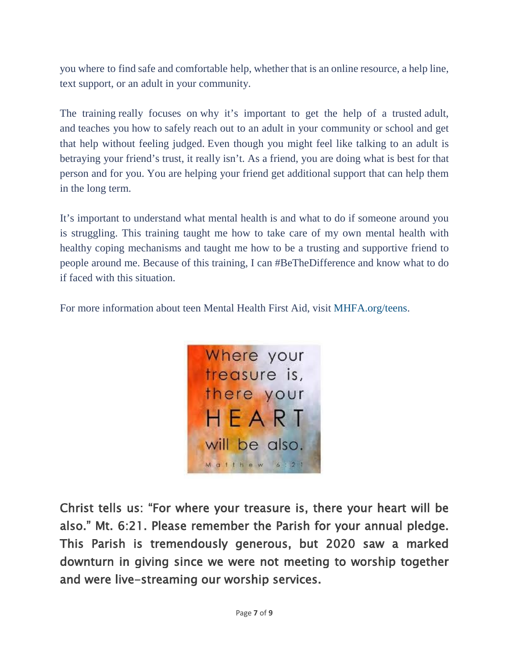you where to find safe and comfortable help, whether that is an online resource, a help line, text support, or an adult in your community.

The training really focuses on why it's important to get the help of a trusted adult, and teaches you how to safely reach out to an adult in your community or school and get that help without feeling judged. Even though you might feel like talking to an adult is betraying your friend's trust, it really isn't. As a friend, you are doing what is best for that person and for you. You are helping your friend get additional support that can help them in the long term.

It's important to understand what mental health is and what to do if someone around you is struggling. This training taught me how to take care of my own mental health with healthy coping mechanisms and taught me how to be a trusting and supportive friend to people around me. Because of this training, I can #BeTheDifference and know what to do if faced with this situation.

For more information about teen Mental Health First Aid, visit [MHFA.org/teens.](https://www.mentalhealthfirstaid.org/population-focused-modules/teens/)



Christ tells us: "For where your treasure is, there your heart will be also." Mt. 6:21. Please remember the Parish for your annual pledge. This Parish is tremendously generous, but 2020 saw a marked downturn in giving since we were not meeting to worship together and were live-streaming our worship services.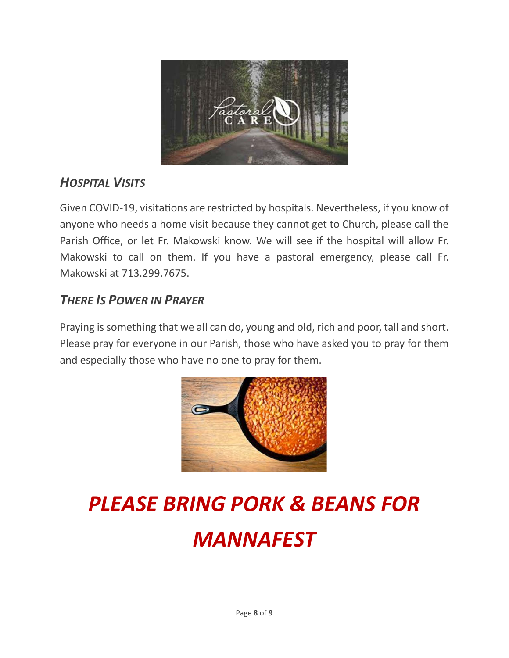

### *HOSPITAL VISITS*

Given COVID-19, visitations are restricted by hospitals. Nevertheless, if you know of anyone who needs a home visit because they cannot get to Church, please call the Parish Office, or let Fr. Makowski know. We will see if the hospital will allow Fr. Makowski to call on them. If you have a pastoral emergency, please call Fr. Makowski at 713.299.7675.

#### *THERE IS POWER IN PRAYER*

Praying is something that we all can do, young and old, rich and poor, tall and short. Please pray for everyone in our Parish, those who have asked you to pray for them and especially those who have no one to pray for them.



# *PLEASE BRING PORK & BEANS FOR MANNAFEST*